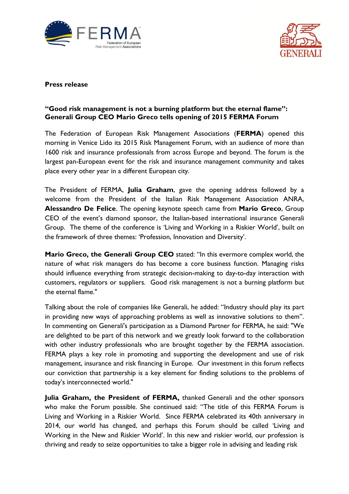



## **Press release**

## **"Good risk management is not a burning platform but the eternal flame": Generali Group CEO Mario Greco tells opening of 2015 FERMA Forum**

The Federation of European Risk Management Associations (**FERMA**) opened this morning in Venice Lido its 2015 Risk Management Forum, with an audience of more than 1600 risk and insurance professionals from across Europe and beyond. The forum is the largest pan-European event for the risk and insurance management community and takes place every other year in a different European city.

The President of FERMA, **Julia Graham**, gave the opening address followed by a welcome from the President of the Italian Risk Management Association ANRA, **Alessandro De Felice**. The opening keynote speech came from **Mario Greco**, Group CEO of the event's diamond sponsor, the Italian-based international insurance Generali Group. The theme of the conference is 'Living and Working in a Riskier World', built on the framework of three themes: 'Profession, Innovation and Diversity'.

**Mario Greco, the Generali Group CEO** stated: "In this evermore complex world, the nature of what risk managers do has become a core business function. Managing risks should influence everything from strategic decision-making to day-to-day interaction with customers, regulators or suppliers. Good risk management is not a burning platform but the eternal flame."

Talking about the role of companies like Generali, he added: "Industry should play its part in providing new ways of approaching problems as well as innovative solutions to them". In commenting on Generali's participation as a Diamond Partner for FERMA, he said: "We are delighted to be part of this network and we greatly look forward to the collaboration with other industry professionals who are brought together by the FERMA association. FERMA plays a key role in promoting and supporting the development and use of risk management, insurance and risk financing in Europe. Our investment in this forum reflects our conviction that partnership is a key element for finding solutions to the problems of today's interconnected world."

**Julia Graham, the President of FERMA,** thanked Generali and the other sponsors who make the Forum possible. She continued said: "The title of this FERMA Forum is Living and Working in a Riskier World. Since FERMA celebrated its 40th anniversary in 2014, our world has changed, and perhaps this Forum should be called 'Living and Working in the New and Riskier World'. In this new and riskier world, our profession is thriving and ready to seize opportunities to take a bigger role in advising and leading risk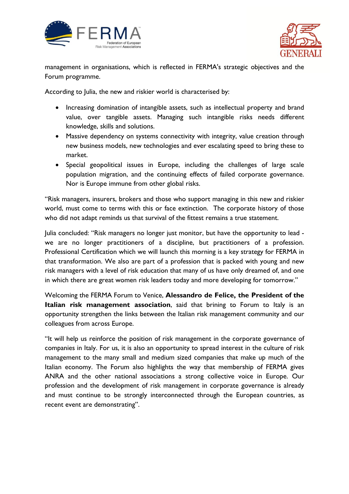



management in organisations, which is reflected in FERMA's strategic objectives and the Forum programme.

According to Julia, the new and riskier world is characterised by:

- Increasing domination of intangible assets, such as intellectual property and brand value, over tangible assets. Managing such intangible risks needs different knowledge, skills and solutions.
- Massive dependency on systems connectivity with integrity, value creation through new business models, new technologies and ever escalating speed to bring these to market.
- Special geopolitical issues in Europe, including the challenges of large scale population migration, and the continuing effects of failed corporate governance. Nor is Europe immune from other global risks.

"Risk managers, insurers, brokers and those who support managing in this new and riskier world, must come to terms with this or face extinction. The corporate history of those who did not adapt reminds us that survival of the fittest remains a true statement.

Julia concluded: "Risk managers no longer just monitor, but have the opportunity to lead we are no longer practitioners of a discipline, but practitioners of a profession. Professional Certification which we will launch this morning is a key strategy for FERMA in that transformation. We also are part of a profession that is packed with young and new risk managers with a level of risk education that many of us have only dreamed of, and one in which there are great women risk leaders today and more developing for tomorrow."

Welcoming the FERMA Forum to Venice, **Alessandro de Felice, the President of the Italian risk management association**, said that brining to Forum to Italy is an opportunity strengthen the links between the Italian risk management community and our colleagues from across Europe.

"It will help us reinforce the position of risk management in the corporate governance of companies in Italy. For us, it is also an opportunity to spread interest in the culture of risk management to the many small and medium sized companies that make up much of the Italian economy. The Forum also highlights the way that membership of FERMA gives ANRA and the other national associations a strong collective voice in Europe. Our profession and the development of risk management in corporate governance is already and must continue to be strongly interconnected through the European countries, as recent event are demonstrating".